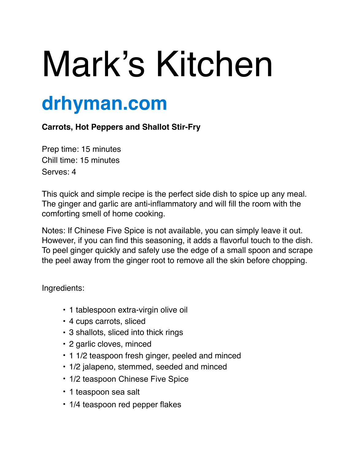## Mark's Kitchen

## **drhyman.com**

## **Carrots, Hot Peppers and Shallot Stir-Fry**

Prep time: 15 minutes Chill time: 15 minutes Serves: 4

This quick and simple recipe is the perfect side dish to spice up any meal. The ginger and garlic are anti-inflammatory and will fill the room with the comforting smell of home cooking.

Notes: If Chinese Five Spice is not available, you can simply leave it out. However, if you can find this seasoning, it adds a flavorful touch to the dish. To peel ginger quickly and safely use the edge of a small spoon and scrape the peel away from the ginger root to remove all the skin before chopping.

Ingredients:

- 1 tablespoon extra-virgin olive oil
- 4 cups carrots, sliced
- 3 shallots, sliced into thick rings
- 2 garlic cloves, minced
- 1 1/2 teaspoon fresh ginger, peeled and minced
- 1/2 jalapeno, stemmed, seeded and minced
- 1/2 teaspoon Chinese Five Spice
- 1 teaspoon sea salt
- 1/4 teaspoon red pepper flakes